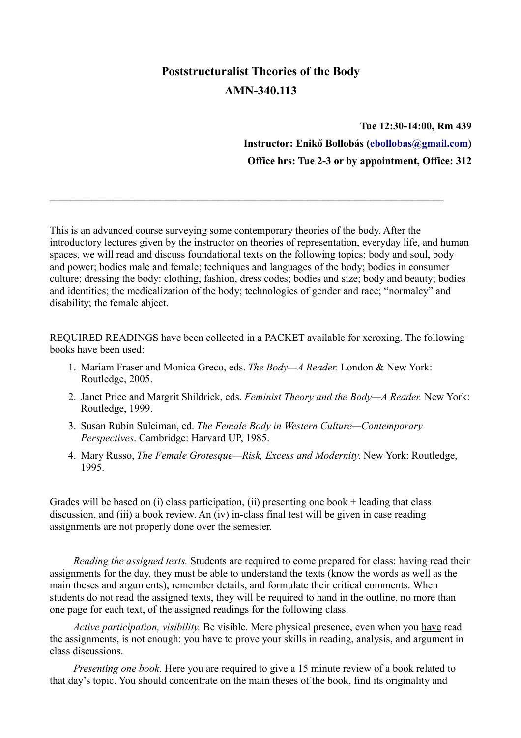# **Poststructuralist Theories of the Body AMN-340.113**

**Tue 12:30-14:00, Rm 439 Instructor: Enikő Bollobás [\(ebollobas@gmail.com\)](mailto:ebollobas@gmail.com) Office hrs: Tue 2-3 or by appointment, Office: 312**

This is an advanced course surveying some contemporary theories of the body. After the introductory lectures given by the instructor on theories of representation, everyday life, and human spaces, we will read and discuss foundational texts on the following topics: body and soul, body and power; bodies male and female; techniques and languages of the body; bodies in consumer culture; dressing the body: clothing, fashion, dress codes; bodies and size; body and beauty; bodies and identities; the medicalization of the body; technologies of gender and race; "normalcy" and disability; the female abject.

 $\mathcal{L}_\mathcal{L} = \mathcal{L}_\mathcal{L} = \mathcal{L}_\mathcal{L} = \mathcal{L}_\mathcal{L} = \mathcal{L}_\mathcal{L} = \mathcal{L}_\mathcal{L} = \mathcal{L}_\mathcal{L} = \mathcal{L}_\mathcal{L} = \mathcal{L}_\mathcal{L} = \mathcal{L}_\mathcal{L} = \mathcal{L}_\mathcal{L} = \mathcal{L}_\mathcal{L} = \mathcal{L}_\mathcal{L} = \mathcal{L}_\mathcal{L} = \mathcal{L}_\mathcal{L} = \mathcal{L}_\mathcal{L} = \mathcal{L}_\mathcal{L}$ 

REQUIRED READINGS have been collected in a PACKET available for xeroxing. The following books have been used:

- 1. Mariam Fraser and Monica Greco, eds. *The Body—A Reader.* London & New York: Routledge, 2005.
- 2. Janet Price and Margrit Shildrick, eds. *Feminist Theory and the Body—A Reader.* New York: Routledge, 1999.
- 3. Susan Rubin Suleiman, ed. *The Female Body in Western Culture—Contemporary Perspectives*. Cambridge: Harvard UP, 1985.
- 4. Mary Russo, *The Female Grotesque—Risk, Excess and Modernity*. New York: Routledge, 1995.

Grades will be based on (i) class participation, (ii) presenting one book + leading that class discussion, and (iii) a book review. An (iv) in-class final test will be given in case reading assignments are not properly done over the semester.

*Reading the assigned texts.* Students are required to come prepared for class: having read their assignments for the day, they must be able to understand the texts (know the words as well as the main theses and arguments), remember details, and formulate their critical comments. When students do not read the assigned texts, they will be required to hand in the outline, no more than one page for each text, of the assigned readings for the following class.

*Active participation, visibility.* Be visible. Mere physical presence, even when you have read the assignments, is not enough: you have to prove your skills in reading, analysis, and argument in class discussions.

*Presenting one book*. Here you are required to give a 15 minute review of a book related to that day's topic. You should concentrate on the main theses of the book, find its originality and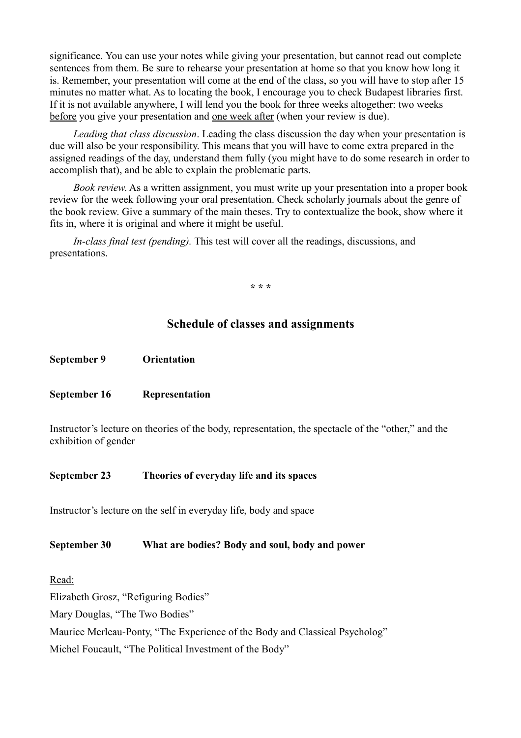significance. You can use your notes while giving your presentation, but cannot read out complete sentences from them. Be sure to rehearse your presentation at home so that you know how long it is. Remember, your presentation will come at the end of the class, so you will have to stop after 15 minutes no matter what. As to locating the book, I encourage you to check Budapest libraries first. If it is not available anywhere, I will lend you the book for three weeks altogether: two weeks before you give your presentation and one week after (when your review is due).

*Leading that class discussion*. Leading the class discussion the day when your presentation is due will also be your responsibility. This means that you will have to come extra prepared in the assigned readings of the day, understand them fully (you might have to do some research in order to accomplish that), and be able to explain the problematic parts.

*Book review*. As a written assignment, you must write up your presentation into a proper book review for the week following your oral presentation. Check scholarly journals about the genre of the book review. Give a summary of the main theses. Try to contextualize the book, show where it fits in, where it is original and where it might be useful.

*In-class final test (pending).* This test will cover all the readings, discussions, and presentations.

**\* \* \***

#### **Schedule of classes and assignments**

**September 9 Orientation**

#### **September 16 Representation**

Instructor's lecture on theories of the body, representation, the spectacle of the "other," and the exhibition of gender

#### **September 23 Theories of everyday life and its spaces**

Instructor's lecture on the self in everyday life, body and space

#### **September 30 What are bodies? Body and soul, body and power**

Read:

Elizabeth Grosz, "Refiguring Bodies"

Mary Douglas, "The Two Bodies"

Maurice Merleau-Ponty, "The Experience of the Body and Classical Psycholog"

Michel Foucault, "The Political Investment of the Body"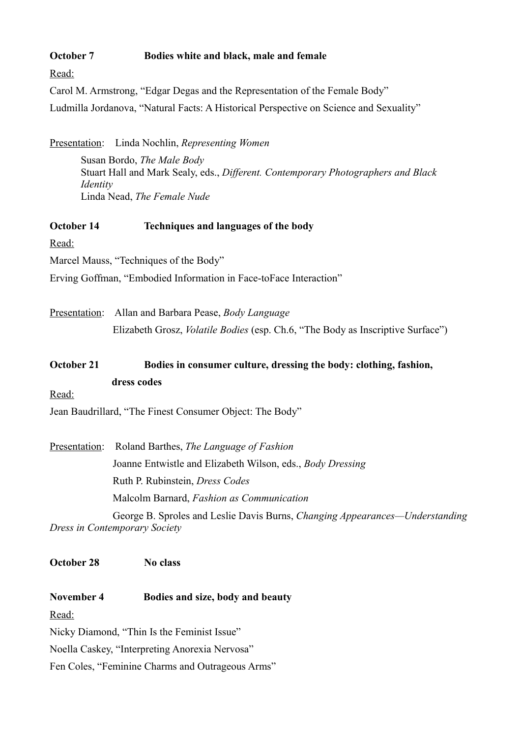#### **October 7 Bodies white and black, male and female**

Read:

Carol M. Armstrong, "Edgar Degas and the Representation of the Female Body"

Ludmilla Jordanova, "Natural Facts: A Historical Perspective on Science and Sexuality"

Presentation: Linda Nochlin, *Representing Women* Susan Bordo, *The Male Body* Stuart Hall and Mark Sealy, eds., *Different. Contemporary Photographers and Black Identity* Linda Nead, *The Female Nude*

#### **October 14 Techniques and languages of the body**

Read:

Marcel Mauss, "Techniques of the Body"

Erving Goffman, "Embodied Information in Face-toFace Interaction"

Presentation: Allan and Barbara Pease, *Body Language* Elizabeth Grosz, *Volatile Bodies* (esp. Ch.6, "The Body as Inscriptive Surface")

October 21 Bodies in consumer culture, dressing the body: clothing, fashion, **dress codes**

Read:

Jean Baudrillard, "The Finest Consumer Object: The Body"

Presentation: Roland Barthes, *The Language of Fashion* Joanne Entwistle and Elizabeth Wilson, eds., *Body Dressing* Ruth P. Rubinstein, *Dress Codes* Malcolm Barnard, *Fashion as Communication* George B. Sproles and Leslie Davis Burns, *Changing Appearances—Understanding*

*Dress in Contemporary Society*

**October 28 No class**

**November 4 Bodies and size, body and beauty**

Read:

Nicky Diamond, "Thin Is the Feminist Issue"

Noella Caskey, "Interpreting Anorexia Nervosa"

Fen Coles, "Feminine Charms and Outrageous Arms"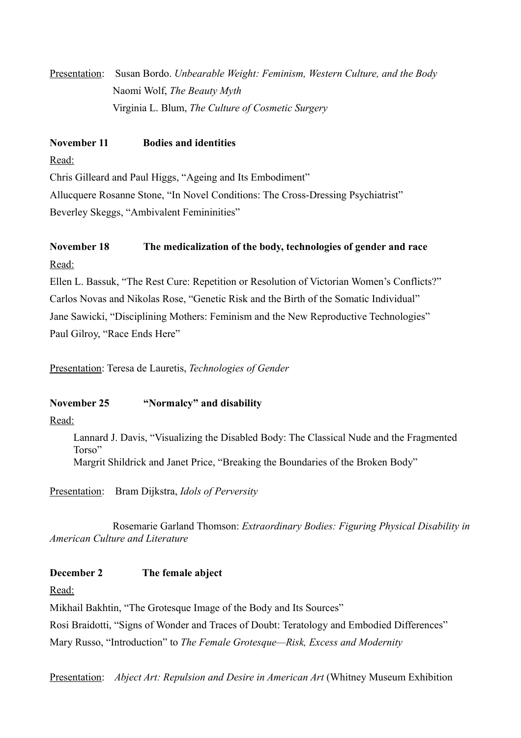Presentation: Susan Bordo. *Unbearable Weight: Feminism, Western Culture, and the Body* Naomi Wolf, *The Beauty Myth* Virginia L. Blum, *The Culture of Cosmetic Surgery*

### **November 11 Bodies and identities**

Read:

Chris Gilleard and Paul Higgs, "Ageing and Its Embodiment" Allucquere Rosanne Stone, "In Novel Conditions: The Cross-Dressing Psychiatrist" Beverley Skeggs, "Ambivalent Femininities"

## **November 18 The medicalization of the body, technologies of gender and race** Read:

Ellen L. Bassuk, "The Rest Cure: Repetition or Resolution of Victorian Women's Conflicts?" Carlos Novas and Nikolas Rose, "Genetic Risk and the Birth of the Somatic Individual" Jane Sawicki, "Disciplining Mothers: Feminism and the New Reproductive Technologies" Paul Gilroy, "Race Ends Here"

Presentation: Teresa de Lauretis, *Technologies of Gender*

### **November 25 "Normalcy" and disability**

Read:

Lannard J. Davis, "Visualizing the Disabled Body: The Classical Nude and the Fragmented Torso" Margrit Shildrick and Janet Price, "Breaking the Boundaries of the Broken Body"

Presentation: Bram Dijkstra, *Idols of Perversity*

Rosemarie Garland Thomson: *Extraordinary Bodies: Figuring Physical Disability in American Culture and Literature*

### **December 2 The female abject**

Read:

Mikhail Bakhtin, "The Grotesque Image of the Body and Its Sources" Rosi Braidotti, "Signs of Wonder and Traces of Doubt: Teratology and Embodied Differences" Mary Russo, "Introduction" to *The Female Grotesque—Risk, Excess and Modernity*

Presentation: *Abject Art: Repulsion and Desire in American Art* (Whitney Museum Exhibition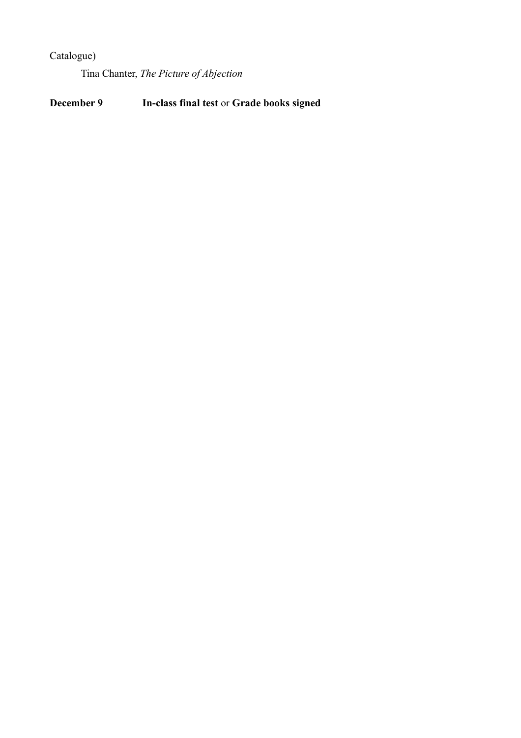## Catalogue)

Tina Chanter, *The Picture of Abjection*

**December 9 In-class final test** or **Grade books signed**